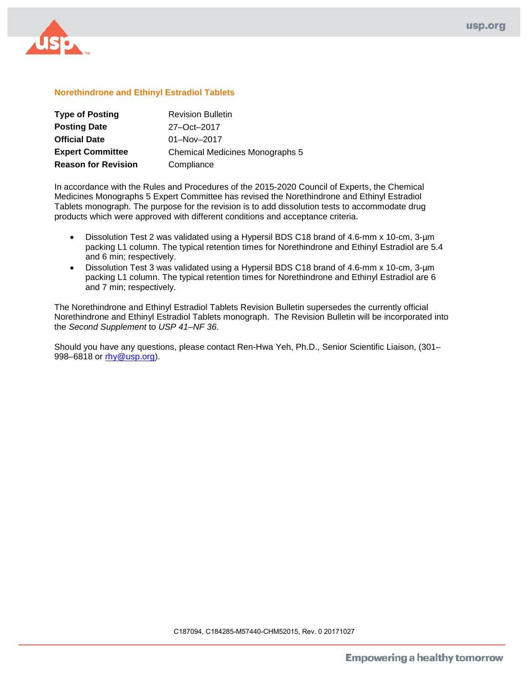

## **Norethindrone and Ethinyl Estradiol Tablets**

| <b>Type of Posting</b>     | <b>Revision Bulletin</b>               |
|----------------------------|----------------------------------------|
| <b>Posting Date</b>        | 27-Oct-2017                            |
| <b>Official Date</b>       | $01 - Nov - 2017$                      |
| <b>Expert Committee</b>    | <b>Chemical Medicines Monographs 5</b> |
| <b>Reason for Revision</b> | Compliance                             |

In accordance with the Rules and Procedures of the 2015-2020 Council of Experts, the Chemical Medicines Monographs 5 Expert Committee has revised the Norethindrone and Ethinyl Estradiol Tablets monograph. The purpose for the revision is to add dissolution tests to accommodate drug products which were approved with different conditions and acceptance criteria.

- Dissolution Test 2 was validated using a Hypersil BDS C18 brand of 4.6-mm x 10-cm, 3-µm packing L1 column. The typical retention times for Norethindrone and Ethinyl Estradiol are 5.4 and 6 min; respectively.
- Dissolution Test 3 was validated using a Hypersil BDS C18 brand of 4.6-mm x 10-cm, 3-µm packing L1 column. The typical retention times for Norethindrone and Ethinyl Estradiol are 6 and 7 min; respectively.

The Norethindrone and Ethinyl Estradiol Tablets Revision Bulletin supersedes the currently official Norethindrone and Ethinyl Estradiol Tablets monograph. The Revision Bulletin will be incorporated into the *Second Supplement* to *USP 41–NF 36*.

Should you have any questions, please contact Ren-Hwa Yeh, Ph.D., Senior Scientific Liaison, (301– 998–6818 or [rhy@usp.org\)](mailto:RHY@usp.org).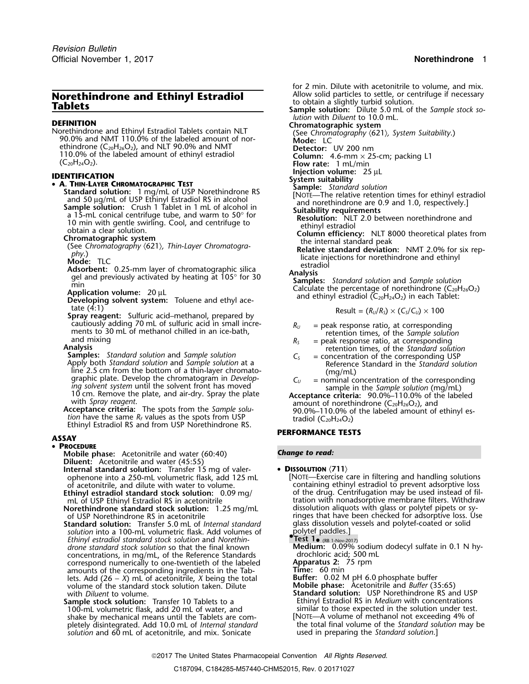# **Norethindrone and Ethinyl Estradiol** Allow solid particles to settle, or centrifuge if necessary in the **Tablets**<br>**Tablets** to obtain a slightly turbid solution: the following the solution:  $\frac{1}{2}$

**DEFINITION**<br>
Norethindrone and Ethinyl Estradiol Tablets contain NLT<br>
90.0% and NMT 110.0% of the labeled amount of nor-<br>
Thromatographic system<br>
(See Chromatography (621), System Suitability.) ethindrone  $(C_{20}H_{26}O_2)$ , and NLT 90.0% and NMT **Detector:** UV 200 nm<br>110.0% of the labeled amount of ethinyl estradiol **Column:** 4.6-mm x 2.9 110.0% of the labeled amount of ethinyl estradiol **Column:** 4.6-mm × 25-cm; packing L1 (C<sub>20</sub>H<sub>24</sub>O<sub>2</sub>).<br>(C<sub>20</sub>H<sub>24</sub>O<sub>2</sub>). **Flow rate:** 1 mL/min<br>**FLITIELATION FLICATION** 

# **IDENTIFICATION**<br>• **A. THIN-LAYER CHROMATOGRAPHIC TEST**<br>Sample: Standard solution: 1 ma/ml of USB Norothindrone PS<br>Sample: Standard solution

**• A. THIN-LAYER CHROMATOGRAPHIC TEST**<br> **EXERCISEDNATE CONDUCT AND ANOTEMATION CONDUCT AND SAMPLE SURPLUS DEVENITING SAMPLE SURPLUS DEVENITING A SAMPLE SURPLUS DEVENITING A SAMPLE STATIGON CONDUCT AND A SAMPLE SURPLUS ON** 

- 
- 
- 
- 
- tate (4:1)<br>**Spray reagent:** Sulfuric acid–methanol, prepared by
- Continuously adding 70 mL of sulfuric acid in small incre-<br>
ments to 30 mL of methanol chilled in an ice-bath,<br>
and mixing<br> **Analysis**<br> **Samples:** Standard solution and Sample solution<br>
Samples: Standard solution and Samp

**Samples:** Standard solution and Sample solution<br>Apply both Standard solution and Sample solution at a<br>Reference Standard in the Standard solution line 2.5 cm from the bottom of a thin-layer chromato-<br>graphic plate. Develop the chromatogram in Develop-<br>ing solvent system until the solvent front has moved<br>ample in the *Sample solution* (mg/mL) graphic plate. Develop the chromatogram in Develop-<br>
ing solvent system until the solvent front has moved<br>
10 cm. Remove the plate, and air-dry. Spray the plate<br>
with *Spray reagent*.

**Acceptance criteria:** The spots from the Sample solu-<br>tion have the same  $R_F$  values as the spots from USP<br>Ethinyl Estradiol RS and from USP Norethindrone RS.<br>Ethinyl Estradiol (C<sub>20</sub>H<sub>24</sub>O<sub>2</sub>)

### **ASSAY**

### • **PROCEDURE**

- **Mobile phase:** Acetonitrile and water (60:40) **Change to read: Diluent:** Acetonitrile and water (45:55)
- **Internal standard solution:** Transfer 15 mg of valer- **<sup>D</sup>ISSOLUTION** 〈**711**〉 ophenone into a 250-mL volumetric flask, add 125 mL [NOTE—Exercise care in filtering and handling solutions
- **Ethinyl estradiol standard stock solution:** 0.09 mg/ mL of USP Ethinyl Estradiol RS in acetonitrile
- **Norethindrone standard stock solution:** 1.25 mg/mL of USP Norethindrone RS in acetonitrile
- **Standard solution:** Transfer 5.0 mL of *Internal standard* glass dissolution vessels and polytef-coated or solution into a 100-mL volumetric flask. Add volumes of polytef-paddles.] solution into a 100-mL volumetric flask. Add volumes of *Ethinyl estradiol standard stock solution* and *Norethin- drone standard stock solution* so that the final known concentrations, in mg/mL, of the Reference Standards drochloric acid; 500 m<br>correspond numerically to one-twentieth of the labeled **Apparatus 2:** 75 rpm correspond numerically to one-twentieth of the labeled<br>
amounts of the corresponding ingredients in the Tab-<br>
lets. Add (26 – X) mL of acetonitrile, X being the total **Buffer:** 0.02 M pH 6.0 phosphate buffer amounts of the corresponding ingredients in the Tablets. Add (26 <sup>−</sup> *<sup>X</sup>*) mL of acetonitrile, *X* being the total **Buffer:** 0.02 M pH 6.0 <sup>p</sup>hosphate buffer volume of the standard stock solution taken. Dilute
- **Sample stock solution:** Transfer 10 Tablets to a Ethinyl Estradiol RS in *Medium* with concentrations 100-mL volumetric flask, add 20 mL of water, and similar to those expected in the solution under test. shake by mechanical means until the Tablets are com-<br>
pletely disintegrated. Add 10.0 mL of *Internal standard* the total final volume of the *Standard solution* may be pletely disintegrated. Add 10.0 mL of *Internal standard* the total final volume of the *Standard solution* solution and 60 mL of acetonitrile, and mix. Sonicate *solution* and 60 mL of acetonitrile, and mix. Sonicate

for 2 min. Dilute with acetonitrile to volume, and mix.<br>Allow solid particles to settle, or centrifuge if necessary

- Sample solution: Dilute 5.0 mL of the Sample stock so*lution* with *Diluent* to 10.0 mL.
- 
- 
- 
- 
- 
- 
- 
- 
- 
- 
- 
- 

$$
Result = (R_U/R_S) \times (C_S/C_U) \times 100
$$

- 
- 
- 
- 
- 
- 

### **PERFORMANCE TESTS**

- 
- of acetonitrile, and dilute with water to volume.<br>
ithinyl estradiol standard stock solution: 0.09 mg/ entitleding contrifugation may be used instead of filtration with nonadsorptive membrane filters. Withdraw dissolution aliquots with glass or polytef pipets or syringes that have been checked for adsorptive loss. Use glass dissolution vessels and polytef-coated or solid

*drones r*<br> **dronard strong-stock solution**<br> **Medium:** 0.09% sodium dodecyl sulfate in 0.1 N hy-<br>
Medium: asid: 500 ml

- 
- 
- 
- 
- with *Diluent* to volume.<br>
with *Diluent* to volume.<br> **Standard solution:** USP Norethindrone RS and USP Sample stock solution: Transfer 10 Tablets to a<br> **Standard solution:** USP Norethindrone RS and USP
	-
	-
	- 2017 The United States Pharmacopeial Convention *All Rights Reserved.*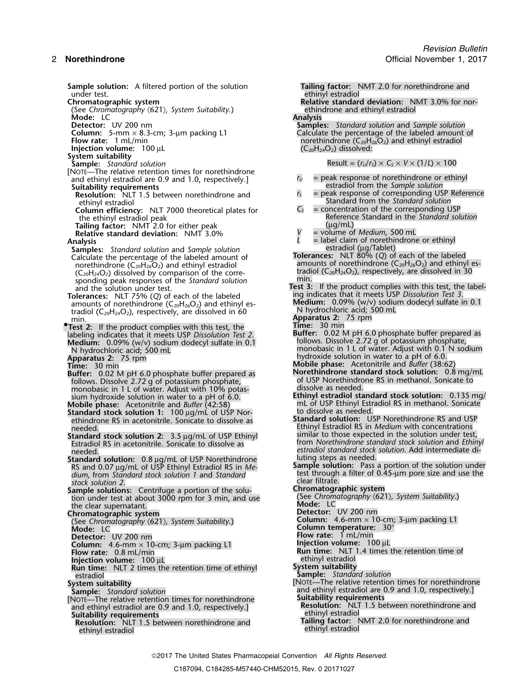**Relative standard deviation:** NMT 3.0% for nor-<br>ethindrone and ethinyl estradiol

 $\text{Result} = (r_U/r_S) \times C_S \times V \times (1/L) \times 100$ 

Reference Standard in the *Standard solution*<br>(µg/mL)

**Samples:** *Standard solution* and *Sample solution* Calculate the percentage of the labeled amount of norethindrone  $(C_{20}H_{26}O_2)$  and ethinyl estradiol

**Sample solution:** A filtered portion of the solution **Tailing factor:** NMT 2.0 for norethindrone and under test. under test.<br> **under test.** ethinyl estradiol extradiol chromatographic system and the standard extradiol extradiol extradiol (See *Chromatography*  $\langle 621 \rangle$ *, System Suitability*.) ethin<br>**Mode:** LC **Analysis Mode:** LC **Detector:** UV 200 nm **Folumn:** 5-mm × 8.3-cm; 3-µm packing L1<br> **Flow rate:** 1 mL/min norethindrone (C<sub>20</sub>H<sub>2</sub><br>
Injection volume: 100 µL (C<sub>20</sub>H<sub>24</sub>O<sub>2</sub>) dissolved: **Injection volume:** 100 µL **System suitability** [NOTE—The relative retention times for norethindrone and ethinyl estradiol are 0.9 and 1.0, respectively.]  $r_U$  = peak response of norethindrone or ethinyl estradiol from the *Sample solution* **Suitability requirements**<br> **Resolution:** NLT 1.5 between norethindrone and *r<sub>S</sub>* = peak response of corresponding USP Reference ethinyl estradiol Standard from the *Standard solution* **Column efficiency:** NLT 7000 theoretical plates for the ethinyl estradiol peak **Tailing factor:**  $NMT'2.0$  for either peak<br>**Relative standard deviation:**  $NMT 3.0\%$   $V =$  volume of *Medium,* 500 mL **Relative standard deviation: NMT 3.0% Analysis** *<sup>L</sup>* = label claim of norethindrone or ethinyl **Samples:** *Standard solution* and *Sample solution* Calculate the percentage of the labeled amount of tradiol  $(C_{20}H_{24}O_2)$ , respectively, are dissolved in 60 N hydrochloric acid; 500 mL amounts of noteumidione  $(2^{0.126}C_2)$  and ethniyi es-<br>tradiol  $(C_{20}H_{24}O_2)$ , respectively, are dissolved in 60<br>min.<br>**These 2:** 75 rpm •**•17 12:** If the product complies with this test, the **Time:** 30 min **Standard stock solution 1:** 100 µg/mL of USP Nor-<br>ethindrone RS in acetonitrile. Sonicate to dissolve as **15 Standard solution:** US **Standard solution:** 0.8 µg/mL of USP Norethindrone luting steps as needed.<br>RS and 0.07 µg/mL of USP Ethinyl Estradiol RS in Me-<br>**Sample solution:** Pass dium, from Standard stock solution 1 and Standard **clear filtrate.**<br>stock solution 2. tion under test at about 3000 rpm for 3 min, and use (See Chromatography **Cancel 1996**)<br>the clear supernatant the clear supernatant. **Mode:** LC<br>hromatographic system **Mode:** Mode: LC: Detector: UV 200 nm (See *Chromatography 〈621〉, System Suitability.*)<br>**Mode:** LC **Detector:** UV 200 nm **Column:** 4.6-mm × 10-cm; 3-µm packing L1 **Flow rate:** 0.8 mL/min **Run time:** NLT 2 times the retention time of ethinyl estradiol estradiol **Sample:** *Standard solution* **System suitability**<br> **Sample:** *Standard solution*<br> **Sample:** *Standard solution*<br> **Suitability requirements**<br> **Suitability requirements**<br> **Suitability requirements**<br> **Suitability requirements**<br> **Resolution:** NLT 1.5 betw [NOTE—The relative retention times for norethindrone and ethinyl estradiol are 0.9 and 1.0, respectively.] **Resolution:** NLT **Resolution:** NLT<br>**Suitability requirements** Suitability requirements<br>Resolution: NLT 1.5 between norethindrone and **Failing factor:** NMT 2.0 for norethindrone and

Calculate the percentage of the labeled amount of **Tolerances:** NLT 80% (*Q*) of each of the labeled norethindrone  $(C_{20}H_{26}O_2)$  and ethinyl estradiol amounts of norethindrone  $(C_{20}H_{26}O_2)$  and ethinyl es- $(C_{20}H_{24}O_2)$  dissolved by comparison of the corre- and tradiol  $(C_{20}H_{24}O_2)$ , respectively, are dissolved in 30  $\mu$ min.  $\mu$ sponding peak responses of the *Standard solution*<br>and the solution under test.<br>**Test 3:** If the product complies with this test, the label-<br>**plerances:** NLT 75% (O) of each of the labeled ing indicates that it meets USP D **Tolerances:** NLT 75% (Q) of each of the labeled ing indicates that it meets USP *Dissolution Test 3*. Number of the labeled in 0.1 amounts of norethindrone (C<sub>20</sub>H<sub>26</sub>O<sub>2</sub>) and ethinyl es-<br>Medium: 0.09% (w/v) sodium dodec amounts of norethindrone (C<sub>20</sub>H<sub>26</sub>O<sub>2</sub>) and ethinyl es-<br>Medium: 0.09% (w/v) sodium dodecyl sulfate in 0.1 **Buffer:** 0.02 M pH 6.0 phosphate buffer prepared as labeling indicates that it meets USP *Dissolution Test 2*.<br>**Buffer:** 0.02 M pH 6.0 phosphate buffer prepared as **Medium:** 0.09% (w/v) sodium dodecyl sulfate in 0.1 and f **Medium:** 0.09% (w/v) sodium dodecyl sulfate in 0.1 follows. Dissolve 2.72 g of potassium phosphate, N hydrochloric acid; 500 mL monobasic in 1 L of water. Adjust with 0.1 N sodium **Apparatus 2:** 75 rpm<br> **Apparatus 2:** 75 rpm<br> **Apparatus 2:** 75 rpm<br> **Mobile phase:** Acetonitrile and Buffer (38:6 **Time: Mobile phase:** Acetonitrile and *Buffer* (38:62) 30 min **Buffer:** 0.02 M pH 6.0 <sup>p</sup>hosphate buffer prepared as **Norethindrone standard stock solution:** 0.8 mg/mL **Buffer:** 0.02 M pH 6.0 phosphate buffer prepared as **Solution Repared Norethindrone standard stock solution:** 0.8 mg/r follows. Dissolve 2.72 g of potassium phosphate, of USP Norethindrone RS in methanol. Sonicate to mono monobasic in 1 L of water. Adjust with 10% potas-<br>sium hydroxide solution in water to a pH of 6.0. **Ethinyl estradiol standard stock solution:** 0.135 mg/ sium hydroxide solution in water to a pH of 6.0. **Ethinyl estradiol standard stock solution:** 0.135 mg/ **Mobile phase:** Acetonitrile and *Buffer* (42:58) mL of USP Ethinyl Estradiol RS in methanol. Sonicate ethindrone RS in acetonitrile. Sonicate to dissolve as **Standard solution:** USP Norethindrone RS and USP needed. Ethinyl Estradiol RS in *Medium* with concentrations **Standard stock solution 2:** 3.5 µg/mL of USP Ethinyl similar to those expected in the solution under test, 3.5 µg/mL of USP Ethinyl<br>Estradiol RS in acetonitrile. Sonicate to dissolve as from Norethindrone standard stock s from Norethindrone standard stock solution and *Ethinyl* needed. *estradiol standard stock solution*. Add intermediate di-RS and 0.07 <sup>µ</sup>g/mL of USP Ethinyl Estradiol RS in *Me-* **Sample solution:** Pass a portion of the solution under *dium*, from *Standard stock solution 1* and *Standard* test through a filter of 0.45-µm pore size and use the **Sample solutions:** Centrifuge a portion of the solu- **Chromatographic system Chromatographic system**<br>
(See Chromatography (621), System Suitability.) **Detector:** UV 200 nm<br> **Column:** 4.6-mm × 10-cm; 3-µm packing L1 **Column temperature: 30°**<br>**Flow rate:** 1 mL/min **Folumn:**  $\frac{4.6}{10}$  Flow rate: 0.8 mL/min ething in packing L1 and time: NLT 1.4 times the retention time of thinyl estradiol **Injection volume:** 100 µL<br> **Injection volume:** 100 µL<br> **Injection volume:** 100 µL<br> **Injectio System suitability** [NOTE—The relative retention times for norethindrone

**Resolution:** NLT 1.5 between norethindrone and **Tailing factor:** Nethinyl estradiol<br> **Tailing factor:** Nethinyl estradiol ethinyl estradiol